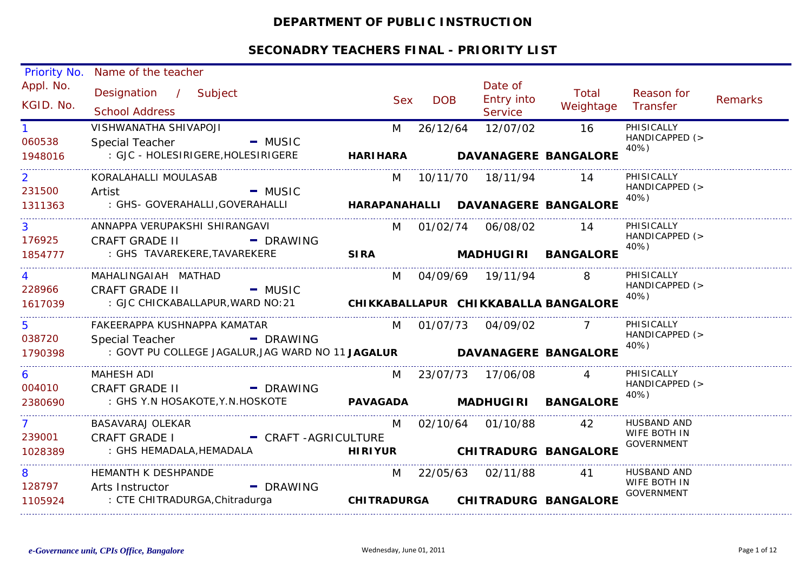## **DEPARTMENT OF PUBLIC INSTRUCTION**

| Priority No.   | Name of the teacher                                                           |                               |            |                       |                                    |                                   |         |
|----------------|-------------------------------------------------------------------------------|-------------------------------|------------|-----------------------|------------------------------------|-----------------------------------|---------|
| Appl. No.      | Designation / Subject                                                         | <b>Sex</b>                    | <b>DOB</b> | Date of<br>Entry into | Total                              | Reason for                        | Remarks |
| KGID. No.      | <b>School Address</b>                                                         |                               |            | Service               | Weightage Transfer                 |                                   |         |
|                | VISHWANATHA SHIVAPOJI                                                         | M                             | 26/12/64   | 12/07/02              | 16                                 | PHISICALLY                        |         |
| 060538         | Special Teacher - MUSIC                                                       |                               |            |                       |                                    | HANDICAPPED (><br>40%)            |         |
| 1948016        | : GJC - HOLESIRIGERE, HOLESIRIGERE                                            | HARIHARA DAVANAGERE BANGALORE |            |                       |                                    |                                   |         |
| $\overline{2}$ | KORALAHALLI MOULASAB                                                          |                               |            | M 10/11/70 18/11/94   | 14                                 | PHISICALLY                        |         |
| 231500         | $-MUSIC$<br>Artist                                                            |                               |            |                       |                                    | HANDICAPPED (><br>40%)            |         |
| 1311363        | : GHS- GOVERAHALLI,GOVERAHALLI                                                |                               |            |                       | HARAPANAHALLI DAVANAGERE BANGALORE |                                   |         |
|                | ANNAPPA VERUPAKSHI SHIRANGAVI                                                 |                               |            | M 01/02/74 06/08/02   | - 14                               | PHISICALLY                        |         |
| 176925         | <b>CRAFT GRADE II</b><br>- DRAWING                                            |                               |            |                       |                                    | HANDICAPPED (><br>40%)            |         |
| 1854777        | : GHS TAVAREKERE,TAVAREKERE                                                   |                               |            |                       | SIRA MADHUGIRI BANGALORE           |                                   |         |
|                | MAHALINGAIAH MATHAD                                                           |                               |            | M 04/09/69 19/11/94   |                                    | PHISICALLY                        |         |
| 228966         | <b>CRAFT GRADE II</b><br>- MUSIC                                              |                               |            |                       |                                    | HANDICAPPED (><br>40%)            |         |
| 1617039        | : GJC CHICKABALLAPUR, WARD NO: 21 CHIKKABALLAPUR CHIKKABALLA BANGALORE        |                               |            |                       |                                    |                                   |         |
| 5.             | FAKEERAPPA KUSHNAPPA KAMATAR                                                  |                               |            | M 01/07/73 04/09/02   |                                    | PHISICALLY                        |         |
| 038720         | Special Teacher - PDRAWING                                                    |                               |            |                       |                                    | HANDICAPPED (><br>40%)            |         |
| 1790398        | : GOVT PU COLLEGE JAGALUR, JAG WARD NO 11 JAGALUR <b>DAVANAGERE BANGALORE</b> |                               |            |                       |                                    |                                   |         |
| 6              | <b>MAHESH ADI</b>                                                             |                               |            | M 23/07/73 17/06/08 4 |                                    | PHISICALLY                        |         |
| 004010         | CRAFT GRADE II - DRAWING                                                      |                               |            |                       |                                    | HANDICAPPED (><br>40%)            |         |
| 2380690        |                                                                               |                               |            |                       |                                    |                                   |         |
| $7 \sim$       | BASAVARAJ OLEKAR                                                              | M                             |            | 02/10/64 01/10/88 42  |                                    | HUSBAND AND                       |         |
| 239001         | CRAFT GRADE I - CRAFT -AGRICULTURE                                            |                               |            |                       |                                    | WIFE BOTH IN<br><b>GOVERNMENT</b> |         |
| 1028389        | : GHS HEMADALA, HEMADALA<br><b>Example 11 HIRIYUR</b>                         |                               |            |                       | <b>CHITRADURG BANGALORE</b>        |                                   |         |
| 8              | HEMANTH K DESHPANDE                                                           |                               |            | M 22/05/63 02/11/88   | 41                                 | HUSBAND AND                       |         |
| 128797         | - DRAWING<br>Arts Instructor                                                  |                               |            |                       |                                    | WIFE BOTH IN<br><b>GOVERNMENT</b> |         |
| 1105924        | : CTE CHITRADURGA, Chitradurga                                                |                               |            |                       | CHITRADURGA CHITRADURG BANGALORE   |                                   |         |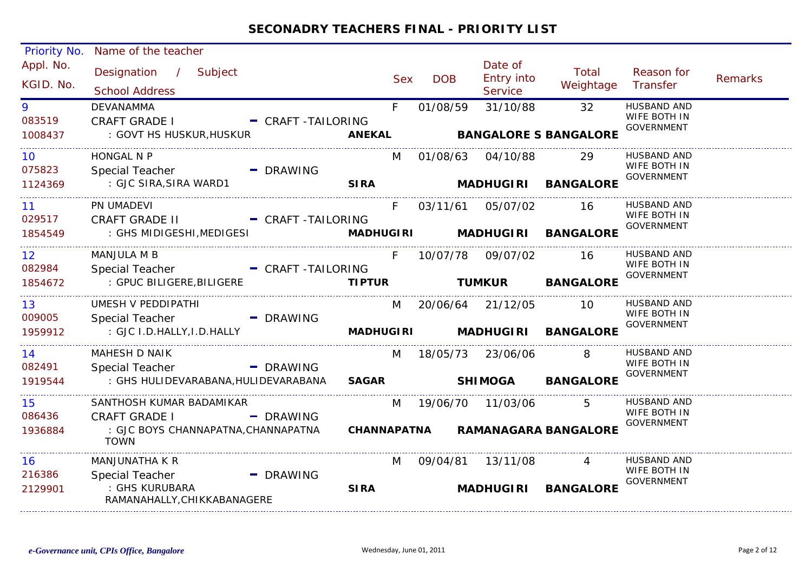| Priority No.                         | Name of the teacher                                                                   |                                           |            |                     |                                    |                                    |                                                         |                |
|--------------------------------------|---------------------------------------------------------------------------------------|-------------------------------------------|------------|---------------------|------------------------------------|------------------------------------|---------------------------------------------------------|----------------|
| Appl. No.<br>KGID. No.               | Designation / Subject<br><b>School Address</b>                                        |                                           | <b>Sex</b> | <b>DOB</b>          | Date of<br>Entry into<br>Service   | Total<br>Weightage                 | Reason for<br>Transfer                                  | <b>Remarks</b> |
| 9<br>083519<br>1008437               | <b>DEVANAMMA</b><br><b>CRAFT GRADE I</b><br>: GOVT HS HUSKUR, HUSKUR                  | F.<br>- CRAFT -TAILORING<br><b>ANEKAL</b> |            | 01/08/59            | 31/10/88                           | 32<br><b>BANGALORE S BANGALORE</b> | HUSBAND AND<br>WIFE BOTH IN<br><b>GOVERNMENT</b>        |                |
| 10 <sup>°</sup><br>075823            | HONGAL N P<br>Special Teacher<br>- DRAWING                                            |                                           | M          | 01/08/63 04/10/88   |                                    | 29                                 | HUSBAND AND<br>WIFE BOTH IN<br><b>GOVERNMENT</b>        |                |
| 1124369                              | : GJC SIRA, SIRA WARD1                                                                | <b>SIRA</b>                               |            |                     | <b>MADHUGIRI</b>                   | <b>BANGALORE</b>                   |                                                         |                |
| 11<br>029517                         | PN UMADEVI<br>CRAFT GRADE II - CRAFT -TAILORING                                       |                                           | $F =$      | 03/11/61 05/07/02   |                                    | 16                                 | <b>HUSBAND AND</b><br>WIFE BOTH IN                      |                |
| 1854549                              | : GHS MIDIGESHI, MEDIGESI                                                             |                                           |            |                     | <b>MADHUGIRI MADHUGIRI</b>         | <b>BANGALORE</b>                   | <b>GOVERNMENT</b>                                       |                |
| 12 <sup>2</sup><br>082984<br>1854672 | <b>MANJULA M B</b><br>Special Teacher - CRAFT -TAILORING<br>: GPUC BILIGERE, BILIGERE | F<br><b>TIPTUR</b>                        |            |                     | 10/07/78 09/07/02<br><b>TUMKUR</b> | 16<br><b>BANGALORE</b>             | <b>HUSBAND AND</b><br>WIFE BOTH IN<br><b>GOVERNMENT</b> |                |
|                                      |                                                                                       |                                           |            |                     |                                    |                                    |                                                         |                |
| 13<br>009005                         | UMESH V PEDDIPATHI<br>Special Teacher<br>- DRAWING                                    |                                           | M          | 20/06/64 21/12/05   |                                    | <b>10</b>                          | HUSBAND AND<br>WIFE BOTH IN<br><b>GOVERNMENT</b>        |                |
| 1959912                              | : GJC I.D.HALLY, I.D.HALLY                                                            | <b>MADHUGIRI</b>                          |            |                     | <b>MADHUGIRI</b>                   | <b>BANGALORE</b>                   |                                                         |                |
| 14<br>082491                         | MAHESH D NAIK<br>Special Teacher<br>- DRAWING                                         |                                           |            | M 18/05/73 23/06/06 |                                    | 8                                  | <b>HUSBAND AND</b><br>WIFE BOTH IN<br><b>GOVERNMENT</b> |                |
| 1919544                              | : GHS HULIDEVARABANA, HULIDEVARABANA                                                  | <b>SAGAR</b>                              |            |                     | <b>SHIMOGA</b>                     | <b>BANGALORE</b>                   |                                                         |                |
| 15<br>086436                         | SANTHOSH KUMAR BADAMIKAR<br><b>CRAFT GRADE I</b><br>- DRAWING                         |                                           |            |                     | M 19/06/70 11/03/06                | $5^{\circ}$                        | <b>HUSBAND AND</b><br>WIFE BOTH IN<br><b>GOVERNMENT</b> |                |
| 1936884                              | : GJC BOYS CHANNAPATNA, CHANNAPATNA<br><b>TOWN</b>                                    |                                           |            |                     |                                    | CHANNAPATNA RAMANAGARA BANGALORE   |                                                         |                |
| 16                                   | MANJUNATHA K R                                                                        |                                           | M          | 09/04/81 13/11/08   |                                    | $\overline{4}$                     | HUSBAND AND                                             |                |
| 216386<br>2129901                    | Special Teacher<br>- DRAWING<br>: GHS KURUBARA<br>RAMANAHALLY, CHIKKABANAGERE         | <b>SIRA</b>                               |            |                     | <b>MADHUGIRI</b>                   | <b>BANGALORE</b>                   | WIFE BOTH IN<br><b>GOVERNMENT</b>                       |                |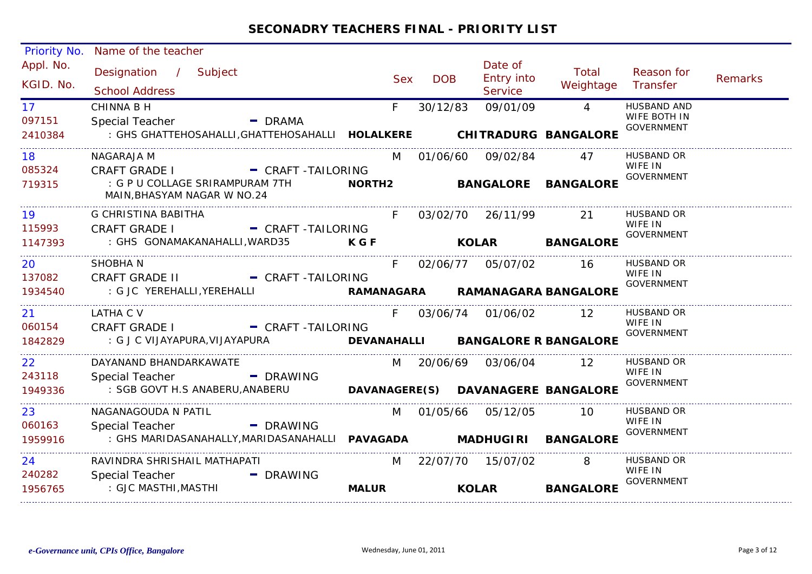| 1956765                              | : GJC MASTHI,MASTHI                                                                                                                          | <b>MALUR</b>  |            | <b>KOLAR</b>                            | <b>BANGALORE</b>       |                                                         |                |
|--------------------------------------|----------------------------------------------------------------------------------------------------------------------------------------------|---------------|------------|-----------------------------------------|------------------------|---------------------------------------------------------|----------------|
| 24<br>240282                         | RAVINDRA SHRISHAIL MATHAPATI<br>Special Teacher<br>- DRAWING                                                                                 |               |            | M 22/07/70 15/07/02                     | 8                      | HUSBAND OR<br>WIFE IN<br><b>GOVERNMENT</b>              |                |
| 1959916                              | : GHS MARIDASANAHALLY, MARIDASANAHALLI PAVAGADA MADHUGIRI BANGALORE                                                                          |               |            |                                         |                        | <b>GOVERNMENT</b>                                       |                |
| 23<br>060163                         | NAGANAGOUDA N PATIL<br>- DRAWING<br>Special Teacher                                                                                          | M             |            | 01/05/66 05/12/05                       | 10                     | HUSBAND OR<br>WIFE IN                                   |                |
| 1949336                              | : SGB GOVT H.S ANABERU, ANABERU <b>DAVANAGERE (S) DAVANAGERE BANGALORE</b>                                                                   |               |            |                                         |                        | <b>GOVERNMENT</b>                                       |                |
| 22 <sub>2</sub><br>243118            | DAYANAND BHANDARKAWATE<br>Special Teacher - - - - - DRAWING                                                                                  |               |            | M 20/06/69 03/06/04 12                  |                        | HUSBAND OR<br>WIFE IN                                   |                |
| 1842829                              | : G J C VIJAYAPURA, VIJAYAPURA <b>DEVANAHALLI BANGALORE R BANGALORE</b>                                                                      |               |            |                                         |                        | <b>GOVERNMENT</b>                                       |                |
| 21<br>060154                         | LATHA C V<br>CRAFT GRADE I - CRAFT -TAILORING                                                                                                | F.            |            | 03/06/74 01/06/02 12                    |                        | HUSBAND OR<br>WIFE IN                                   |                |
| 1934540                              | : G JC YEREHALLI, YEREHALLI <b>WARANA MAMANAGARA KAMANA MAMANAGARA BANGALORE</b>                                                             |               |            |                                         |                        | <b>GOVERNMENT</b>                                       |                |
| 20<br>137082                         | SHOBHA N<br>CRAFT GRADE II - CRAFT -TAILORING                                                                                                | F             |            | 02/06/77 05/07/02 16                    |                        | <b>HUSBAND OR</b><br>WIFE IN                            |                |
| 115993<br>1147393                    | - CRAFT -TAILORING<br><b>CRAFT GRADE I</b><br>: GHS GONAMAKANAHALLI, WARD35 KGF                                                              |               |            |                                         | <b>KOLAR BANGALORE</b> | <b>GOVERNMENT</b>                                       |                |
| 19                                   | G CHRISTINA BABITHA                                                                                                                          | F             |            | 03/02/70 26/11/99                       | 21                     | <b>HUSBAND OR</b><br>WIFE IN                            |                |
| 085324<br>719315                     | <b>CRAFT GRADE I</b><br>- CRAFT-TAILORING<br>: G P U COLLAGE SRIRAMPURAM 7TH<br>MAIN, BHASYAM NAGAR W NO.24                                  | <b>NORTH2</b> |            | <b>BANGALORE</b>                        | <b>BANGALORE</b>       | <b>GOVERNMENT</b>                                       |                |
| 18                                   | NAGARAJA M                                                                                                                                   | M             |            | 01/06/60 09/02/84                       | 47                     | HUSBAND OR<br>WIFE IN                                   |                |
| 17 <sup>7</sup><br>097151<br>2410384 | <b>CHINNA B H</b><br>Special Teacher<br>$\blacksquare$ DRAMA<br>: GHS GHATTEHOSAHALLI, GHATTEHOSAHALLI <b>HOLALKERE CHITRADURG BANGALORE</b> | F             | 30/12/83   | 09/01/09                                | $\overline{4}$         | <b>HUSBAND AND</b><br>WIFE BOTH IN<br><b>GOVERNMENT</b> |                |
| Appl. No.<br>KGID. No.               | Designation / Subject<br><b>School Address</b>                                                                                               | <b>Sex</b>    | <b>DOB</b> | Date of<br>Entry into<br><b>Service</b> | Total<br>Weightage     | Reason for<br>Transfer                                  | <b>Remarks</b> |
| <b>Priority No.</b>                  | Name of the teacher                                                                                                                          |               |            |                                         |                        |                                                         |                |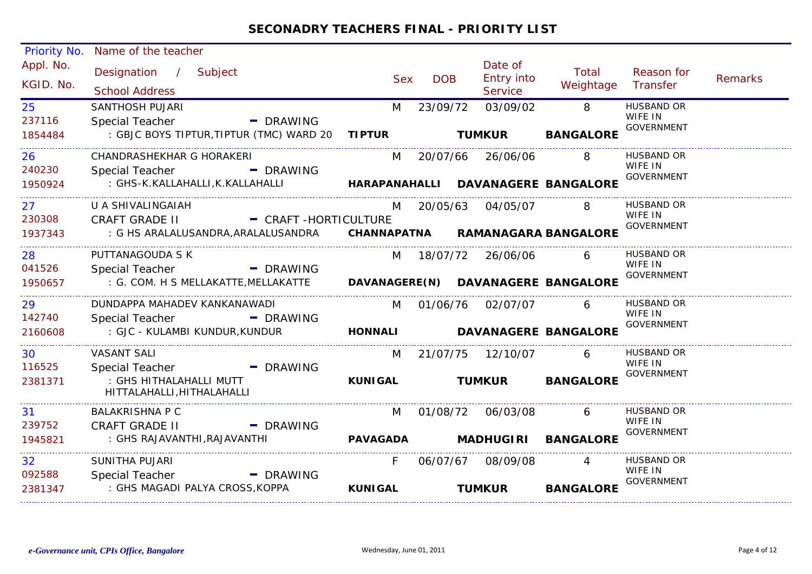| <b>Priority No.</b>    | Name of the teacher                                   |                                                                                 |                |            |                                  |                    |                              |                |
|------------------------|-------------------------------------------------------|---------------------------------------------------------------------------------|----------------|------------|----------------------------------|--------------------|------------------------------|----------------|
| Appl. No.<br>KGID. No. | Designation / Subject<br><b>School Address</b>        |                                                                                 | <b>Sex</b>     | <b>DOB</b> | Date of<br>Entry into<br>Service | Total<br>Weightage | Reason for<br>Transfer       | <b>Remarks</b> |
| 25                     | <b>SANTHOSH PUJARI</b>                                |                                                                                 | M              | 23/09/72   | 03/09/02                         | $\overline{8}$     | <b>HUSBAND OR</b>            |                |
| 237116                 | <b>Special Teacher</b>                                | - DRAWING                                                                       |                |            |                                  |                    | WIFE IN                      |                |
| 1854484                |                                                       |                                                                                 |                |            |                                  | <b>BANGALORE</b>   | <b>GOVERNMENT</b>            |                |
| 26                     | CHANDRASHEKHAR G HORAKERI                             |                                                                                 |                |            | M 20/07/66 26/06/06              | 8                  | HUSBAND OR                   |                |
| 240230                 | Special Teacher - - - - - DRAWING                     |                                                                                 |                |            |                                  |                    | WIFE IN<br><b>GOVERNMENT</b> |                |
| 1950924                |                                                       | : GHS-K.KALLAHALLI,K.KALLAHALLI         HARAPANAHALLI DAVANAGERE BANGALORE      |                |            |                                  |                    |                              |                |
| 27                     | U A SHIVALINGAIAH                                     |                                                                                 | M              |            | 20/05/63  04/05/07               | 8                  | <b>HUSBAND OR</b>            |                |
| 230308                 |                                                       | CRAFT GRADE II - CRAFT -HORTICULTURE                                            |                |            |                                  |                    | WIFE IN<br><b>GOVERNMENT</b> |                |
| 1937343                |                                                       | : G HS ARALALUSANDRA, ARALALUSANDRA CHANNAPATNA RAMANAGARA BANGALORE            |                |            |                                  |                    |                              |                |
| 28                     | PUTTANAGOUDA S K                                      |                                                                                 |                |            | M 18/07/72 26/06/06              | 6                  | HUSBAND OR                   |                |
| 041526                 | Special Teacher - PDRAWING                            |                                                                                 |                |            |                                  |                    | WIFE IN<br><b>GOVERNMENT</b> |                |
| 1950657                |                                                       | : G. COM. H S MELLAKATTE, MELLAKATTE <b>DAVANAGERE (N) DAVANAGERE BANGALORE</b> |                |            |                                  |                    |                              |                |
| 29                     |                                                       | DUNDAPPA MAHADEV KANKANAWADI                                                    |                |            | M 01/06/76 02/07/07              | 6                  | HUSBAND OR                   |                |
| 142740                 | Special Teacher - PDRAWING                            |                                                                                 |                |            |                                  |                    | WIFE IN<br><b>GOVERNMENT</b> |                |
| 2160608                |                                                       | : GJC - KULAMBI KUNDUR,KUNDUR <b>HONNALI DAVANAGERE BANGALORE</b>               |                |            |                                  |                    |                              |                |
| 30                     | VASANT SALI                                           |                                                                                 |                |            | M 21/07/75 12/10/07              | 6                  | HUSBAND OR                   |                |
| 116525                 | <b>Special Teacher</b>                                | - DRAWING                                                                       |                |            |                                  |                    | WIFE IN<br><b>GOVERNMENT</b> |                |
| 2381371                | : GHS HITHALAHALLI MUTT<br>HITTALAHALLI, HITHALAHALLI |                                                                                 | <b>KUNIGAL</b> |            | <b>TUMKUR</b>                    | <b>BANGALORE</b>   |                              |                |
| 31                     | <b>BALAKRISHNA P C</b>                                |                                                                                 | M              |            |                                  | 6                  | <b>HUSBAND OR</b>            |                |
| 239752                 | <b>CRAFT GRADE II</b>                                 | - DRAWING                                                                       |                |            |                                  |                    | WIFE IN<br><b>GOVERNMENT</b> |                |
| 1945821                |                                                       |                                                                                 |                |            |                                  |                    |                              |                |
| 32 <sup>°</sup>        | SUNITHA PUJARI                                        |                                                                                 | F              |            | 06/07/67 08/09/08                | $\overline{4}$     | <b>HUSBAND OR</b>            |                |
| 092588                 | Special Teacher                                       | - DRAWING                                                                       |                |            |                                  |                    | WIFE IN<br><b>GOVERNMENT</b> |                |
| 2381347                | : GHS MAGADI PALYA CROSS, KOPPA                       |                                                                                 | <b>KUNIGAL</b> |            | <b>TUMKUR</b>                    | <b>BANGALORE</b>   |                              |                |
|                        |                                                       |                                                                                 |                |            |                                  |                    |                              |                |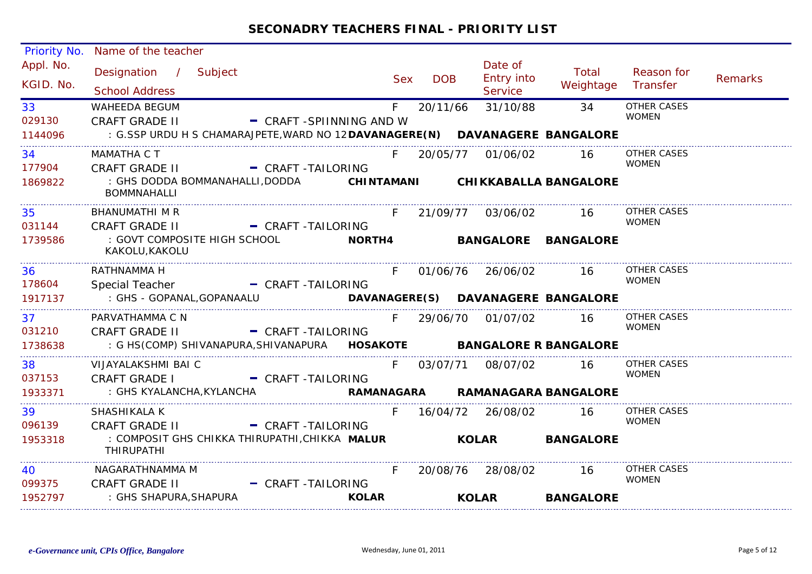| Priority No.           | Name of the teacher                                                            |                          |               |            |                                  |                                  |                                    |                |
|------------------------|--------------------------------------------------------------------------------|--------------------------|---------------|------------|----------------------------------|----------------------------------|------------------------------------|----------------|
| Appl. No.<br>KGID. No. | Designation / Subject<br><b>School Address</b>                                 |                          | <b>Sex</b>    | <b>DOB</b> | Date of<br>Entry into<br>Service | Total<br>Weightage               | Reason for<br>Transfer             | <b>Remarks</b> |
| 33<br>029130           | <b>WAHEEDA BEGUM</b><br><b>CRAFT GRADE II</b>                                  | - CRAFT -SPIINNING AND W | F.            | 20/11/66   | 31/10/88                         | 34                               | <b>OTHER CASES</b><br><b>WOMEN</b> |                |
| 1144096                | : G.SSP URDU H S CHAMARAJPETE, WARD NO 12 DAVANAGERE (N) DAVANAGERE BANGALORE  |                          |               |            |                                  |                                  |                                    |                |
| 34<br>177904           | MAMATHA C T<br><b>CRAFT GRADE II</b>                                           | - CRAFT-TAILORING        |               |            | F 20/05/77 01/06/02              | -16                              | <b>OTHER CASES</b><br><b>WOMEN</b> |                |
| 1869822                | : GHS DODDA BOMMANAHALLI,DODDA<br><b>BOMMNAHALLI</b>                           |                          |               |            |                                  | CHINTAMANI CHIKKABALLA BANGALORE |                                    |                |
| 35<br>031144           | BHANUMATHI M R<br><b>CRAFT GRADE II</b>                                        | - CRAFT-TAILORING        |               |            | F 21/09/77 03/06/02              | 16                               | <b>OTHER CASES</b><br><b>WOMEN</b> |                |
| 1739586                | : GOVT COMPOSITE HIGH SCHOOL<br>KAKOLU, KAKOLU                                 |                          | <b>NORTH4</b> |            |                                  | <b>BANGALORE BANGALORE</b>       |                                    |                |
| 36                     | RATHNAMMA H                                                                    |                          | F             |            | 01/06/76 26/06/02                | - 16                             | <b>OTHER CASES</b>                 |                |
| 178604<br>1917137      | Special Teacher<br>: GHS - GOPANAL,GOPANAALU                                   | - CRAFT-TAILORING        |               |            |                                  |                                  | <b>WOMEN</b>                       |                |
| 37<br>031210           | PARVATHAMMA C N<br><b>CRAFT GRADE II</b>                                       | - CRAFT-TAILORING        | $F =$         |            | 29/06/70 01/07/02                | 16                               | OTHER CASES<br><b>WOMEN</b>        |                |
| 1738638                | : G HS(COMP) SHIVANAPURA, SHIVANAPURA <b>HOSAKOTE    BANGALORE R BANGALORE</b> |                          |               |            |                                  |                                  |                                    |                |
| 38<br>037153           | VIJAYALAKSHMI BAI C<br><b>CRAFT GRADE I</b>                                    | - CRAFT-TAILORING        | $F =$         |            | 03/07/71 08/07/02                | -16                              | OTHER CASES<br><b>WOMEN</b>        |                |
| 1933371                | : GHS KYALANCHA, KYLANCHA                                                      |                          |               |            |                                  | RAMANAGARA RAMANAGARA BANGALORE  |                                    |                |
| 39<br>096139           | SHASHIKALA K<br><b>CRAFT GRADE II</b>                                          | - CRAFT-TAILORING        | F.            |            | 16/04/72 26/08/02                | 16                               | <b>OTHER CASES</b><br><b>WOMEN</b> |                |
| 1953318                | : COMPOSIT GHS CHIKKA THIRUPATHI,CHIKKA MALUR<br><b>THIRUPATHI</b>             |                          |               |            | <b>KOLAR</b>                     | <b>BANGALORE</b>                 |                                    |                |
| 40<br>099375           | NAGARATHNAMMA M<br><b>CRAFT GRADE II</b>                                       | - CRAFT-TAILORING        |               |            | 20/08/76 28/08/02                | -16                              | OTHER CASES<br><b>WOMEN</b>        |                |
| 1952797                | : GHS SHAPURA, SHAPURA                                                         |                          | <b>KOLAR</b>  |            | <b>KOLAR</b>                     | <b>BANGALORE</b>                 |                                    |                |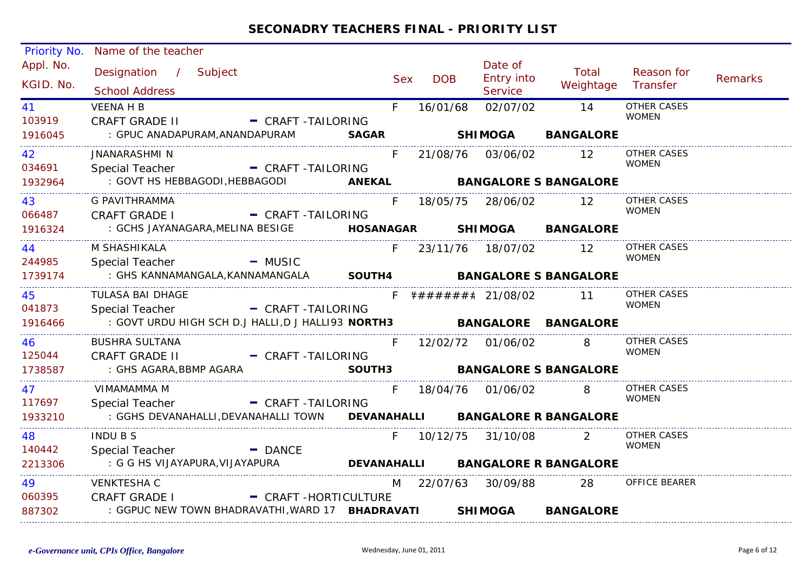| <b>Priority No.</b>    | Name of the teacher                                                      |                        |            |            |                                      |                                   |                             |                |
|------------------------|--------------------------------------------------------------------------|------------------------|------------|------------|--------------------------------------|-----------------------------------|-----------------------------|----------------|
| Appl. No.<br>KGID. No. | Designation / Subject<br><b>School Address</b>                           |                        | <b>Sex</b> | <b>DOB</b> | Date of<br><b>Entry into</b>         | Total<br>Weightage                | Reason for<br>Transfer      | <b>Remarks</b> |
|                        |                                                                          |                        |            |            | Service                              |                                   |                             |                |
| 41 —                   | <b>VEENA H B</b>                                                         |                        | F.         | 16/01/68   | 02/07/02                             | 14                                | OTHER CASES<br><b>WOMEN</b> |                |
| 103919                 | CRAFT GRADE II - CRAFT -TAILORING                                        |                        |            |            |                                      |                                   |                             |                |
| 1916045                | : GPUC ANADAPURAM, ANANDAPURAM                                           |                        |            |            |                                      | SAGAR SHIMOGA BANGALORE           |                             |                |
| 42                     | JNANARASHMI N                                                            |                        |            |            |                                      | F 21/08/76 03/06/02 12            | <b>OTHER CASES</b>          |                |
| 034691                 | <b>Special Teacher</b>                                                   | - CRAFT-TAILORING      |            |            |                                      |                                   | <b>WOMEN</b>                |                |
| 1932964                | : GOVT HS HEBBAGODI, HEBBAGODI <b>ANEKAL BANGALORE S BANGALORE</b>       |                        |            |            |                                      |                                   |                             |                |
| 43                     | G PAVITHRAMMA                                                            |                        | F.         |            | 18/05/75 28/06/02 12                 |                                   | <b>OTHER CASES</b>          |                |
| 066487                 | <b>CRAFT GRADE I</b>                                                     | - CRAFT-TAILORING      |            |            |                                      |                                   | <b>WOMEN</b>                |                |
| 1916324                | : GCHS JAYANAGARA, MELINA BESIGE <b>HOSANAGAR SHIMOGA BANGALORE</b>      |                        |            |            |                                      |                                   |                             |                |
| 44                     | M SHASHIKALA                                                             |                        | F.         |            | 23/11/76 18/07/02 12                 |                                   | <b>OTHER CASES</b>          |                |
| 244985                 | <b>Special Teacher</b>                                                   | <b>Example 1</b> MUSIC |            |            |                                      |                                   | <b>WOMEN</b>                |                |
| 1739174                | : GHS KANNAMANGALA,KANNAMANGALA <b>SOUTH4      BANGALORE S BANGALORE</b> |                        |            |            |                                      |                                   |                             |                |
| 45                     | TULASA BAI DHAGE                                                         |                        |            |            | F $\# \# \# \# \# \# \#$ 21/08/02 11 |                                   | <b>OTHER CASES</b>          |                |
| 041873                 | Special Teacher                                                          | - CRAFT-TAILORING      |            |            |                                      |                                   | <b>WOMEN</b>                |                |
| 1916466                | : GOVT URDU HIGH SCH D.J HALLI,D J HALLI93 NORTH3 BANGALORE BANGALORE    |                        |            |            |                                      |                                   |                             |                |
| 46                     | <b>BUSHRA SULTANA</b>                                                    |                        |            |            | F 12/02/72 01/06/02                  | 8                                 | OTHER CASES                 |                |
| 125044                 | <b>CRAFT GRADE II</b>                                                    | - CRAFT -TAILORING     |            |            |                                      |                                   | <b>WOMEN</b>                |                |
| 1738587                | : GHS AGARA,BBMP AGARA                                                   |                        |            |            |                                      | SOUTH3 BANGALORE S BANGALORE      |                             |                |
| 47                     | VIMAMAMMA M                                                              |                        | F.         |            | 18/04/76  01/06/02                   | 8 I                               | <b>OTHER CASES</b>          |                |
| 117697                 | Special Teacher                                                          | - CRAFT-TAILORING      |            |            |                                      |                                   | <b>WOMEN</b>                |                |
| 1933210                | : GGHS DEVANAHALLI, DEVANAHALLI TOWN DEVANAHALLI BANGALORE R BANGALORE   |                        |            |            |                                      |                                   |                             |                |
| 48                     | <b>INDUBS</b>                                                            |                        | F.         |            | 10/12/75 31/10/08                    | 2                                 | OTHER CASES                 |                |
| 140442                 | Special Teacher                                                          | <b>DANCE</b>           |            |            |                                      |                                   | <b>WOMEN</b>                |                |
| 2213306                | : G G HS VIJAYAPURA,VIJAYAPURA                                           |                        |            |            |                                      | DEVANAHALLI BANGALORE R BANGALORE |                             |                |
| 49                     | <b>VENKTESHA C</b>                                                       |                        |            |            |                                      | M 22/07/63 30/09/88 28            | OFFICE BEARER               |                |
| 060395                 | <b>CRAFT GRADE I</b>                                                     | - CRAFT -HORTICULTURE  |            |            |                                      |                                   |                             |                |
| 887302                 | : GGPUC NEW TOWN BHADRAVATHI, WARD 17 BHADRAVATI                         |                        |            |            | <b>SHIMOGA</b>                       | <b>BANGALORE</b>                  |                             |                |
|                        |                                                                          |                        |            |            |                                      |                                   |                             |                |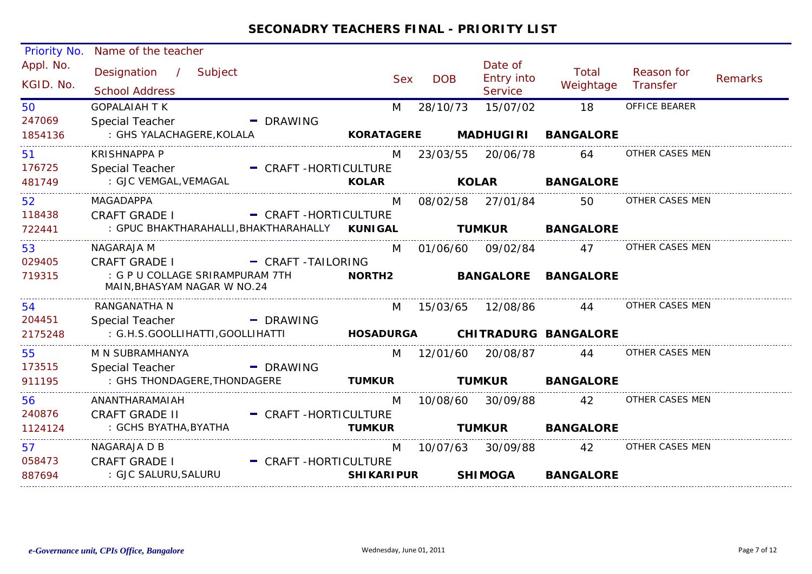| Priority No.           | Name of the teacher                                                   |                       |                   |            |                                         |                            |                        |         |
|------------------------|-----------------------------------------------------------------------|-----------------------|-------------------|------------|-----------------------------------------|----------------------------|------------------------|---------|
| Appl. No.<br>KGID. No. | Designation / Subject<br><b>School Address</b>                        |                       | <b>Sex</b>        | <b>DOB</b> | Date of<br><b>Entry into</b><br>Service | Total<br>Weightage         | Reason for<br>Transfer | Remarks |
| 50                     | <b>GOPALAIAH T K</b>                                                  |                       | M                 | 28/10/73   | 15/07/02                                | 18                         | OFFICE BEARER          |         |
| 247069                 | Special Teacher                                                       | - DRAWING             |                   |            |                                         |                            |                        |         |
| 1854136                | : GHS YALACHAGERE,KOLALA                                              |                       | <b>KORATAGERE</b> |            |                                         | <b>MADHUGIRI BANGALORE</b> |                        |         |
| 51                     | <b>KRISHNAPPA P</b>                                                   |                       | M                 |            | 23/03/55 20/06/78                       | 64                         | OTHER CASES MEN        |         |
| 176725                 | Special Teacher                                                       | - CRAFT-HORTICULTURE  |                   |            |                                         |                            |                        |         |
| 481749                 | : GJC VEMGAL, VEMAGAL                                                 |                       |                   |            |                                         | <b>KOLAR BANGALORE</b>     |                        |         |
| 52                     | MAGADAPPA                                                             |                       | M                 |            | 08/02/58 27/01/84                       | 50                         | OTHER CASES MEN        |         |
| 118438                 | <b>CRAFT GRADE I</b>                                                  | - CRAFT-HORTICULTURE  |                   |            |                                         |                            |                        |         |
| 722441                 | : GPUC BHAKTHARAHALLI, BHAKTHARAHALLY KUNIGAL                         |                       |                   |            |                                         | <b>TUMKUR BANGALORE</b>    |                        |         |
| 53                     | NAGARAJA M                                                            |                       | M                 |            | 01/06/60 09/02/84 47                    |                            | OTHER CASES MEN        |         |
| 029405                 | <b>CRAFT GRADE I</b>                                                  | - CRAFT-TAILORING     |                   |            |                                         |                            |                        |         |
| 719315                 | : G P U COLLAGE SRIRAMPURAM 7TH<br>MAIN, BHASYAM NAGAR W NO.24        |                       | <b>NORTH2</b>     |            |                                         | <b>BANGALORE BANGALORE</b> |                        |         |
| 54                     | RANGANATHA N                                                          |                       | M                 |            |                                         | 15/03/65  12/08/86    44   | OTHER CASES MEN        |         |
| 204451                 | <b>Special Teacher</b>                                                | - DRAWING             |                   |            |                                         |                            |                        |         |
| 2175248                | : G.H.S.GOOLLIHATTI,GOOLLIHATTI <b>HOSADURGA CHITRADURG BANGALORE</b> |                       |                   |            |                                         |                            |                        |         |
| 55                     | M N SUBRAMHANYA                                                       |                       |                   |            |                                         | M 12/01/60 20/08/87 44     | OTHER CASES MEN        |         |
| 173515                 | Special Teacher                                                       | - DRAWING             |                   |            |                                         |                            |                        |         |
| 911195                 | : GHS THONDAGERE, THONDAGERE                                          |                       | <b>TUMKUR</b>     |            | <b>TUMKUR</b>                           | <b>BANGALORE</b>           |                        |         |
| 56                     | ANANTHARAMAIAH                                                        |                       | M                 |            | 10/08/60 30/09/88 42                    |                            | OTHER CASES MEN        |         |
| 240876                 | <b>CRAFT GRADE II</b>                                                 | - CRAFT-HORTICULTURE  |                   |            |                                         |                            |                        |         |
| 1124124                | : GCHS BYATHA, BYATHA                                                 |                       | <b>TUMKUR</b>     |            | <b>TUMKUR</b>                           | <b>BANGALORE</b>           |                        |         |
| 57                     | NAGARAJA D B                                                          |                       | M                 |            | 10/07/63  30/09/88                      | 42                         | OTHER CASES MEN        |         |
| 058473                 | <b>CRAFT GRADE I</b>                                                  | - CRAFT -HORTICULTURE |                   |            |                                         |                            |                        |         |
| 887694                 | : GJC SALURU, SALURU                                                  |                       | <b>SHIKARIPUR</b> |            | <b>SHIMOGA</b>                          | <b>BANGALORE</b>           |                        |         |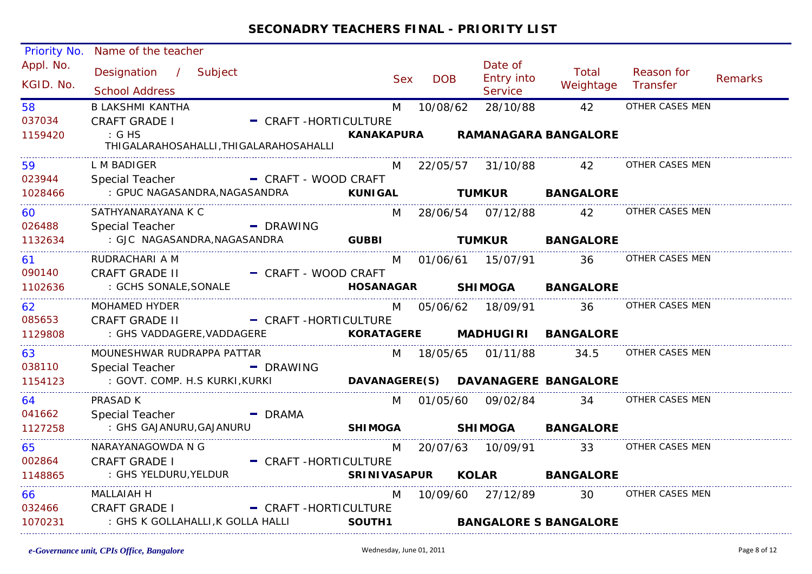| Priority No.           | Name of the teacher                                         |                           |            |                                         |                                 |                                              |         |
|------------------------|-------------------------------------------------------------|---------------------------|------------|-----------------------------------------|---------------------------------|----------------------------------------------|---------|
| Appl. No.<br>KGID. No. | Designation / Subject<br><b>School Address</b>              | <b>Sex</b>                | <b>DOB</b> | Date of<br><b>Entry into</b><br>Service | Total<br>Weightage              | Reason for<br>Transfer                       | Remarks |
| 58                     | <b>B LAKSHMI KANTHA</b>                                     | M                         | 10/08/62   | 28/10/88                                | 42                              | OTHER CASES MEN                              |         |
| 037034                 | - CRAFT -HORTICULTURE<br><b>CRAFT GRADE I</b>               |                           |            |                                         |                                 |                                              |         |
| 1159420                | $\therefore$ G HS<br>THIGALARAHOSAHALLI, THIGALARAHOSAHALLI |                           |            |                                         | KANAKAPURA RAMANAGARA BANGALORE |                                              |         |
| 59                     | L M BADIGER                                                 |                           |            |                                         | M 22/05/57 31/10/88 42          | OTHER CASES MEN                              |         |
| 023944                 | Special Teacher - CRAFT - WOOD CRAFT                        |                           |            |                                         |                                 |                                              |         |
| 1028466                |                                                             |                           |            |                                         | <b>TUMKUR BANGALORE</b>         |                                              |         |
| 60                     | SATHYANARAYANA K C                                          |                           |            |                                         | M 28/06/54 07/12/88 42          | OTHER CASES MEN                              |         |
| 026488                 | - DRAWING<br>Special Teacher                                |                           |            |                                         |                                 |                                              |         |
| 1132634                |                                                             |                           |            |                                         |                                 |                                              |         |
| 61 - 1                 | RUDRACHARI A M                                              |                           |            |                                         |                                 | M 01/06/61 15/07/91 36 OTHER CASES MEN       |         |
| 090140                 | <b>CRAFT GRADE II</b><br>- CRAFT - WOOD CRAFT               |                           |            |                                         |                                 |                                              |         |
| 1102636                | : GCHS SONALE, SONALE                                       |                           |            |                                         | HOSANAGAR SHIMOGA BANGALORE     |                                              |         |
| 62                     | MOHAMED HYDER                                               |                           |            |                                         | M 05/06/62 18/09/91 36          | OTHER CASES MEN                              |         |
| 085653                 | CRAFT GRADE II - CRAFT -HORTICULTURE                        |                           |            |                                         |                                 |                                              |         |
| 1129808                |                                                             |                           |            |                                         |                                 |                                              |         |
| 63                     | MOUNESHWAR RUDRAPPA PATTAR                                  |                           |            |                                         |                                 | M  18/05/65  01/11/88  34.5  OTHER CASES MEN |         |
| 038110                 | Special Teacher - DRAWING                                   |                           |            |                                         |                                 |                                              |         |
| 1154123                | : GOVT. COMP. H.S KURKI, KURKI                              |                           |            |                                         |                                 |                                              |         |
| 64                     | PRASAD K                                                    |                           |            |                                         |                                 | M 01/05/60 09/02/84 34 OTHER CASES MEN       |         |
| 041662                 | Special Teacher<br>$-$ DRAMA                                |                           |            |                                         |                                 |                                              |         |
| 1127258                | : GHS GAJANURU, GAJANURU                                    | SHIMOGA SHIMOGA BANGALORE |            |                                         |                                 |                                              |         |
| 65                     | NARAYANAGOWDA N G                                           | M                         |            |                                         | 33                              | OTHER CASES MEN                              |         |
| 002864                 | <b>CRAFT GRADE I</b><br>- CRAFT-HORTICULTURE                |                           |            |                                         |                                 |                                              |         |
| 1148865                | : GHS YELDURU, YELDUR                                       |                           |            |                                         | SRINIVASAPUR KOLAR BANGALORE    |                                              |         |
| 66 — 10                | <b>MALLAIAH H</b>                                           | M                         |            |                                         |                                 | 10/09/60 27/12/89 30 OTHER CASES MEN         |         |
| 032466                 | CRAFT GRADE I - CRAFT -HORTICULTURE                         |                           |            |                                         |                                 |                                              |         |
| 1070231                | : GHS K GOLLAHALLI,K GOLLA HALLI                            | SOUTH1                    |            |                                         | <b>BANGALORE S BANGALORE</b>    |                                              |         |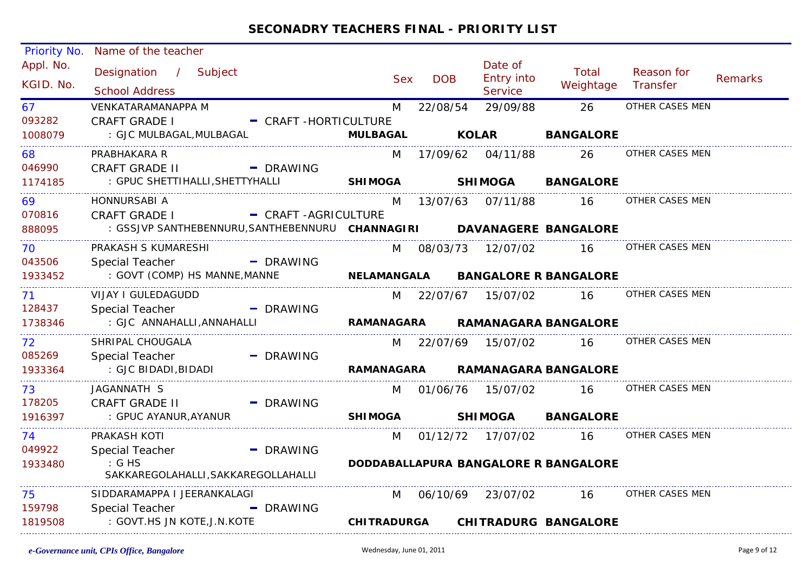| Priority No.           | Name of the teacher                                                   |                        |                    |            |                                         |                                      |                        |         |
|------------------------|-----------------------------------------------------------------------|------------------------|--------------------|------------|-----------------------------------------|--------------------------------------|------------------------|---------|
| Appl. No.<br>KGID. No. | Designation / Subject<br><b>School Address</b>                        |                        | <b>Sex</b>         | <b>DOB</b> | Date of<br>Entry into<br><b>Service</b> | Total<br>Weightage                   | Reason for<br>Transfer | Remarks |
| 67                     | <b>VENKATARAMANAPPA M</b>                                             |                        | M                  | 22/08/54   | 29/09/88                                | 26                                   | OTHER CASES MEN        |         |
| 093282                 | <b>CRAFT GRADE I</b>                                                  | - CRAFT-HORTICULTURE   |                    |            |                                         |                                      |                        |         |
| 1008079                | : GJC MULBAGAL, MULBAGAL                                              |                        | <b>MULBAGAL</b>    |            | <b>KOLAR</b>                            | <b>BANGALORE</b>                     |                        |         |
| 68                     | PRABHAKARA R                                                          |                        | M                  |            | 17/09/62 04/11/88                       | 26                                   | OTHER CASES MEN        |         |
| 046990                 | <b>CRAFT GRADE II</b>                                                 | - DRAWING              |                    |            |                                         |                                      |                        |         |
| 1174185                | : GPUC SHETTIHALLI, SHETTYHALLI                                       |                        | <b>SHIMOGA</b>     |            | <b>SHIMOGA</b>                          | <b>BANGALORE</b>                     |                        |         |
| 69                     | HONNURSABI A                                                          |                        | M                  |            | 13/07/63 07/11/88                       | 16                                   | OTHER CASES MEN        |         |
| 070816                 | <b>CRAFT GRADE I</b>                                                  | - CRAFT-AGRICULTURE    |                    |            |                                         |                                      |                        |         |
| 888095                 | : GSSJVP SANTHEBENNURU, SANTHEBENNURU CHANNAGIRI DAVANAGERE BANGALORE |                        |                    |            |                                         |                                      |                        |         |
| 70.                    | PRAKASH S KUMARESHI                                                   |                        |                    |            | M 08/03/73 12/07/02                     | 16                                   | OTHER CASES MEN        |         |
| 043506                 | Special Teacher                                                       | - DRAWING              |                    |            |                                         |                                      |                        |         |
| 1933452                | : GOVT (COMP) HS MANNE, MANNE                                         |                        | NELAMANGALA        |            |                                         | <b>BANGALORE R BANGALORE</b>         |                        |         |
| 71                     | VIJAY I GULEDAGUDD                                                    |                        |                    |            | M 22/07/67 15/07/02                     | 16                                   | OTHER CASES MEN        |         |
| 128437                 | <b>Special Teacher</b>                                                | - DRAWING              |                    |            |                                         |                                      |                        |         |
| 1738346                | : GJC ANNAHALLI, ANNAHALLI                                            |                        | <b>RAMANAGARA</b>  |            |                                         | <b>RAMANAGARA BANGALORE</b>          |                        |         |
| 72                     | SHRIPAL CHOUGALA                                                      |                        | M                  |            | 22/07/69 15/07/02                       | $\overline{16}$                      | OTHER CASES MEN        |         |
| 085269                 | Special Teacher                                                       | - DRAWING              |                    |            |                                         |                                      |                        |         |
| 1933364                | : GJC BIDADI,BIDADI                                                   |                        | <b>RAMANAGARA</b>  |            |                                         | <b>RAMANAGARA BANGALORE</b>          |                        |         |
| 73                     | JAGANNATH S                                                           |                        |                    |            | M 01/06/76 15/07/02                     | 16                                   | OTHER CASES MEN        |         |
| 178205                 | <b>CRAFT GRADE II</b>                                                 | $\blacksquare$ DRAWING |                    |            |                                         |                                      |                        |         |
| 1916397                | : GPUC AYANUR, AYANUR                                                 |                        | <b>SHIMOGA</b>     |            | <b>SHIMOGA</b>                          | <b>BANGALORE</b>                     |                        |         |
| 74                     | PRAKASH KOTI                                                          |                        | M                  |            | 01/12/72 17/07/02                       | -16                                  | OTHER CASES MEN        |         |
| 049922                 | Special Teacher                                                       | - DRAWING              |                    |            |                                         |                                      |                        |         |
| 1933480                | $\mathcal{G}$ is GHS                                                  |                        |                    |            |                                         | DODDABALLAPURA BANGALORE R BANGALORE |                        |         |
|                        | SAKKAREGOLAHALLI, SAKKAREGOLLAHALLI                                   |                        |                    |            |                                         |                                      |                        |         |
| 75                     | SIDDARAMAPPA I JEERANKALAGI                                           |                        | M                  |            | 06/10/69 23/07/02                       | 16                                   | OTHER CASES MEN        |         |
| 159798                 | <b>Special Teacher</b>                                                | - DRAWING              |                    |            |                                         |                                      |                        |         |
| 1819508                | : GOVT.HS JN KOTE, J.N.KOTE                                           |                        | <b>CHITRADURGA</b> |            |                                         | <b>CHITRADURG BANGALORE</b>          |                        |         |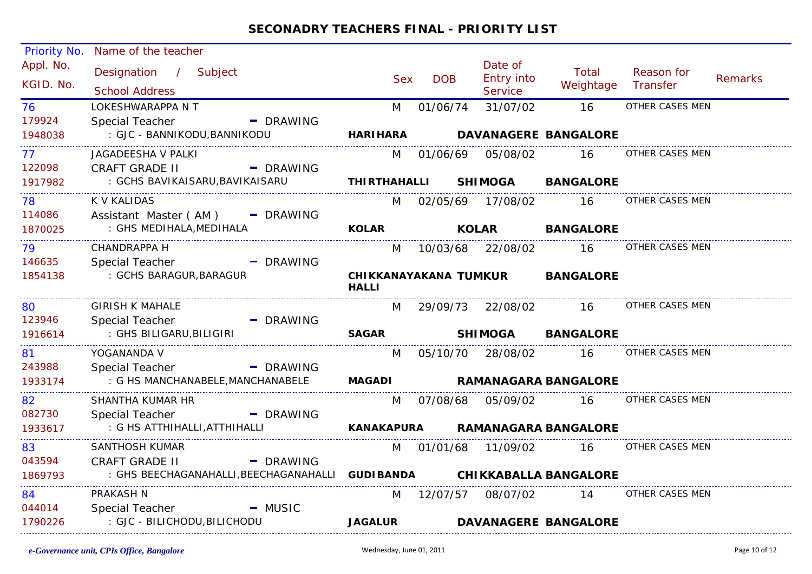| Priority No.           | Name of the teacher                             |                        |            |                                         |                                 |                        |         |
|------------------------|-------------------------------------------------|------------------------|------------|-----------------------------------------|---------------------------------|------------------------|---------|
| Appl. No.<br>KGID. No. | Designation / Subject<br><b>School Address</b>  | <b>Sex</b>             | <b>DOB</b> | Date of<br>Entry into<br><b>Service</b> | Total<br>Weightage              | Reason for<br>Transfer | Remarks |
| 76                     | LOKESHWARAPPA N T                               | M                      | 01/06/74   | 31/07/02                                | 16                              | OTHER CASES MEN        |         |
| 179924                 | Special Teacher<br>- DRAWING                    |                        |            |                                         |                                 |                        |         |
| 1948038                | : GJC - BANNIKODU, BANNIKODU                    | <b>HARIHARA</b>        |            |                                         | <b>DAVANAGERE BANGALORE</b>     |                        |         |
| 77                     | JAGADEESHA V PALKI                              |                        |            |                                         | M 01/06/69 05/08/02 16          | OTHER CASES MEN        |         |
| 122098                 | <b>CRAFT GRADE II</b><br>- DRAWING              |                        |            |                                         |                                 |                        |         |
| 1917982                | : GCHS BAVIKAISARU,BAVIKAISARU                  |                        |            |                                         | THIRTHAHALLI SHIMOGA BANGALORE  |                        |         |
| 78                     | <b>K V KALIDAS</b>                              |                        |            |                                         | M 02/05/69 17/08/02 16          | OTHER CASES MEN        |         |
| 114086                 | Assistant Master (AM) - DRAWING                 |                        |            |                                         |                                 |                        |         |
| 1870025                | : GHS MEDIHALA, MEDIHALA                        | <b>KOLAR</b>           |            | <b>KOLAR</b>                            | <b>BANGALORE</b>                |                        |         |
| 79                     | <b>CHANDRAPPA H</b>                             |                        |            |                                         | M 10/03/68 22/08/02 16          | OTHER CASES MEN        |         |
| 146635                 | Special Teacher<br>- DRAWING                    |                        |            |                                         |                                 |                        |         |
| 1854138                | : GCHS BARAGUR, BARAGUR                         | <b>HALLI</b>           |            |                                         | CHIKKANAYAKANA TUMKUR BANGALORE |                        |         |
| 80                     | <b>GIRISH K MAHALE</b>                          |                        |            |                                         | M 29/09/73 22/08/02 16          | OTHER CASES MEN        |         |
| 123946                 | Special Teacher<br>- DRAWING                    |                        |            |                                         |                                 |                        |         |
| 1916614                | : GHS BILIGARU,BILIGIRI                         | <b>SAGAR Example 2</b> |            |                                         | SHIMOGA BANGALORE               |                        |         |
| 81                     | YOGANANDA V                                     |                        |            |                                         | M 05/10/70 28/08/02 16          | OTHER CASES MEN        |         |
| 243988                 | Special Teacher<br>- DRAWING                    |                        |            |                                         |                                 |                        |         |
| 1933174                | : G HS MANCHANABELE, MANCHANABELE               |                        |            |                                         | MAGADI RAMANAGARA BANGALORE     |                        |         |
| 82                     | SHANTHA KUMAR HR                                |                        |            | M 07/08/68 05/09/02                     | <b>16</b>                       | OTHER CASES MEN        |         |
| 082730                 | Special Teacher<br>$\blacksquare$ DRAWING       |                        |            |                                         |                                 |                        |         |
| 1933617                | : G HS ATTHIHALLI, ATTHIHALLI                   | KANAKAPURA             |            |                                         | <b>RAMANAGARA BANGALORE</b>     |                        |         |
| 83                     | <b>SANTHOSH KUMAR</b>                           | M                      |            |                                         | 01/01/68 11/09/02 16            | OTHER CASES MEN        |         |
| 043594                 | <b>CRAFT GRADE II</b><br>- DRAWING              |                        |            |                                         |                                 |                        |         |
| 1869793                | : GHS BEECHAGANAHALLI,BEECHAGANAHALLI GUDIBANDA |                        |            |                                         | <b>CHIKKABALLA BANGALORE</b>    |                        |         |
| 84                     | PRAKASH N                                       |                        | M 12/07/57 |                                         | 08/07/02 14                     | OTHER CASES MEN        |         |
| 044014                 | Special Teacher <b>Special</b><br>$-MUSIC$      |                        |            |                                         |                                 |                        |         |
| 1790226                | : GJC - BILICHODU,BILICHODU                     | <b>JAGALUR</b>         |            |                                         | <b>DAVANAGERE BANGALORE</b>     |                        |         |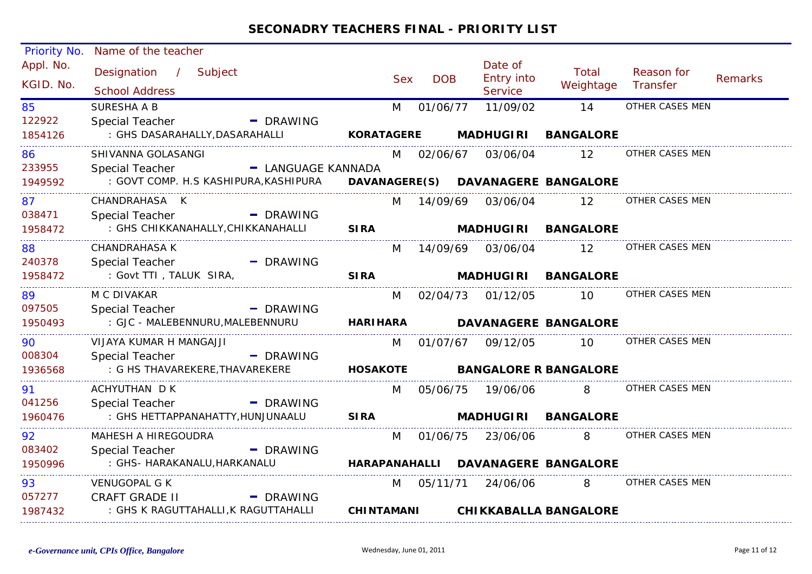| Priority No. | Name of the teacher                   |                        |                   |            |                       |                                    |                 |                |
|--------------|---------------------------------------|------------------------|-------------------|------------|-----------------------|------------------------------------|-----------------|----------------|
| Appl. No.    | Designation / Subject                 |                        |                   |            | Date of               | Total                              | Reason for      |                |
| KGID. No.    | <b>School Address</b>                 |                        | <b>Sex</b>        | <b>DOB</b> | Entry into<br>Service | Weightage                          | Transfer        | <b>Remarks</b> |
| 85           | <b>SURESHA A B</b>                    |                        | M                 | 01/06/77   | 11/09/02              | 14                                 | OTHER CASES MEN |                |
| 122922       | Special Teacher                       | - DRAWING              |                   |            |                       |                                    |                 |                |
| 1854126      | : GHS DASARAHALLY, DASARAHALLI        |                        | <b>KORATAGERE</b> |            | <b>MADHUGIRI</b>      | <b>BANGALORE</b>                   |                 |                |
| 86           | SHIVANNA GOLASANGI                    |                        | M                 |            | 02/06/67 03/06/04     | 12                                 | OTHER CASES MEN |                |
| 233955       | Special Teacher                       | - LANGUAGE KANNADA     |                   |            |                       |                                    |                 |                |
| 1949592      | : GOVT COMP. H.S KASHIPURA, KASHIPURA |                        |                   |            |                       | DAVANAGERE(S) DAVANAGERE BANGALORE |                 |                |
| 87           | CHANDRAHASA K                         |                        | M                 |            | 14/09/69 03/06/04     | $12 \overline{ }$                  | OTHER CASES MEN |                |
| 038471       | - DRAWING<br>Special Teacher          |                        |                   |            |                       |                                    |                 |                |
| 1958472      | : GHS CHIKKANAHALLY, CHIKKANAHALLI    | <b>SIRA</b>            |                   |            |                       | MADHUGIRI BANGALORE                |                 |                |
| 88           | <b>CHANDRAHASA K</b>                  |                        | M                 |            | 14/09/69 03/06/04     | $12 \overline{ }$                  | OTHER CASES MEN |                |
| 240378       | <b>Special Teacher</b><br>- DRAWING   |                        |                   |            |                       |                                    |                 |                |
| 1958472      | : Govt TTI, TALUK SIRA,               | <b>SIRA</b>            |                   |            | <b>MADHUGIRI</b>      | <b>BANGALORE</b>                   |                 |                |
| 89           | M C DIVAKAR                           |                        |                   |            | M 02/04/73 01/12/05   | 10                                 | OTHER CASES MEN |                |
| 097505       | <b>Special Teacher</b><br>- DRAWING   |                        |                   |            |                       |                                    |                 |                |
| 1950493      | : GJC - MALEBENNURU, MALEBENNURU      |                        | <b>HARIHARA</b>   |            |                       | <b>DAVANAGERE BANGALORE</b>        |                 |                |
| 90           | VIJAYA KUMAR H MANGAJJI               |                        |                   |            | M 01/07/67 09/12/05   | 10 I                               | OTHER CASES MEN |                |
| 008304       | <b>Special Teacher</b>                | - DRAWING              |                   |            |                       |                                    |                 |                |
| 1936568      | : G HS THAVAREKERE, THAVAREKERE       | <b>HOSAKOTE</b>        |                   |            |                       | <b>BANGALORE R BANGALORE</b>       |                 |                |
| 91           | ACHYUTHAN D K                         |                        | M                 |            | 05/06/75 19/06/06     | 8                                  | OTHER CASES MEN |                |
| 041256       | - DRAWING<br>Special Teacher          |                        |                   |            |                       |                                    |                 |                |
| 1960476      | : GHS HETTAPPANAHATTY, HUNJUNAALU     | <b>SIRA</b>            |                   |            |                       | MADHUGIRI BANGALORE                |                 |                |
| 92           | MAHESH A HIREGOUDRA                   |                        | M                 |            | 01/06/75 23/06/06     | 8                                  | OTHER CASES MEN |                |
| 083402       | Special Teacher<br>- DRAWING          |                        |                   |            |                       |                                    |                 |                |
| 1950996      | : GHS- HARAKANALU, HARKANALU          |                        |                   |            |                       | HARAPANAHALLI DAVANAGERE BANGALORE |                 |                |
| 93           | <b>VENUGOPAL G K</b>                  |                        | M                 |            | 05/11/71 24/06/06     | 8                                  | OTHER CASES MEN |                |
| 057277       | <b>CRAFT GRADE II</b>                 | $\blacksquare$ DRAWING |                   |            |                       |                                    |                 |                |
| 1987432      | : GHS K RAGUTTAHALLI, K RAGUTTAHALLI  |                        | <b>CHINTAMANI</b> |            |                       | <b>CHIKKABALLA BANGALORE</b>       |                 |                |